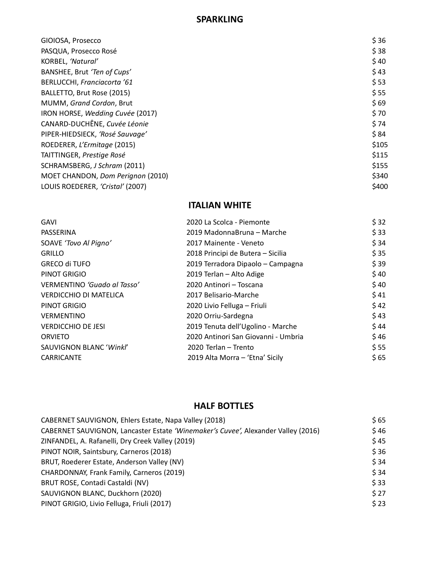#### **SPARKLING**

| PASQUA, Prosecco Rosé<br>KORBEL, 'Natural'<br>BANSHEE, Brut 'Ten of Cups'<br>BERLUCCHI, Franciacorta '61<br>BALLETTO, Brut Rose (2015)<br>MUMM, Grand Cordon, Brut<br>IRON HORSE, Wedding Cuvée (2017)<br>CANARD-DUCHÊNE, Cuvée Léonie<br>PIPER-HIEDSIECK, 'Rosé Sauvage'<br>ROEDERER, L'Ermitage (2015)<br>TAITTINGER, Prestige Rosé<br>SCHRAMSBERG, J Schram (2011)<br>MOET CHANDON, Dom Perignon (2010)<br>LOUIS ROEDERER, 'Cristal' (2007) | GIOIOSA, Prosecco | \$36  |
|------------------------------------------------------------------------------------------------------------------------------------------------------------------------------------------------------------------------------------------------------------------------------------------------------------------------------------------------------------------------------------------------------------------------------------------------|-------------------|-------|
|                                                                                                                                                                                                                                                                                                                                                                                                                                                |                   | \$38  |
|                                                                                                                                                                                                                                                                                                                                                                                                                                                |                   | \$40  |
|                                                                                                                                                                                                                                                                                                                                                                                                                                                |                   | \$43  |
|                                                                                                                                                                                                                                                                                                                                                                                                                                                |                   | \$53  |
|                                                                                                                                                                                                                                                                                                                                                                                                                                                |                   | \$55  |
|                                                                                                                                                                                                                                                                                                                                                                                                                                                |                   | \$69  |
|                                                                                                                                                                                                                                                                                                                                                                                                                                                |                   | \$70  |
|                                                                                                                                                                                                                                                                                                                                                                                                                                                |                   | \$74  |
|                                                                                                                                                                                                                                                                                                                                                                                                                                                |                   | \$84  |
|                                                                                                                                                                                                                                                                                                                                                                                                                                                |                   | \$105 |
|                                                                                                                                                                                                                                                                                                                                                                                                                                                |                   | \$115 |
|                                                                                                                                                                                                                                                                                                                                                                                                                                                |                   | \$155 |
|                                                                                                                                                                                                                                                                                                                                                                                                                                                |                   | \$340 |
|                                                                                                                                                                                                                                                                                                                                                                                                                                                |                   | \$400 |

#### **ITALIAN WHITE**

| <b>GAVI</b>                   | 2020 La Scolca - Piemonte           | \$32 |
|-------------------------------|-------------------------------------|------|
| PASSERINA                     | 2019 MadonnaBruna – Marche          | \$33 |
| SOAVE 'Tovo Al Pigno'         | 2017 Mainente - Veneto              | \$34 |
| <b>GRILLO</b>                 | 2018 Principi de Butera - Sicilia   | \$35 |
| <b>GRECO di TUFO</b>          | 2019 Terradora Dipaolo - Campagna   | \$39 |
| PINOT GRIGIO                  | 2019 Terlan - Alto Adige            | \$40 |
| VERMENTINO 'Guado al Tasso'   | 2020 Antinori - Toscana             | \$40 |
| <b>VERDICCHIO DI MATELICA</b> | 2017 Belisario-Marche               | \$41 |
| PINOT GRIGIO                  | 2020 Livio Felluga - Friuli         | \$42 |
| <b>VERMENTINO</b>             | 2020 Orriu-Sardegna                 | \$43 |
| <b>VERDICCHIO DE JESI</b>     | 2019 Tenuta dell'Ugolino - Marche   | \$44 |
| <b>ORVIETO</b>                | 2020 Antinori San Giovanni - Umbria | \$46 |
| SAUVIGNON BLANC 'Winkl'       | 2020 Terlan - Trento                | \$55 |
| <b>CARRICANTE</b>             | 2019 Alta Morra - 'Etna' Sicily     | \$65 |
|                               |                                     |      |

# **HALF BOTTLES**

| CABERNET SAUVIGNON, Ehlers Estate, Napa Valley (2018)                             | \$65 |
|-----------------------------------------------------------------------------------|------|
| CABERNET SAUVIGNON, Lancaster Estate 'Winemaker's Cuvee', Alexander Valley (2016) | \$46 |
| ZINFANDEL, A. Rafanelli, Dry Creek Valley (2019)                                  | \$45 |
| PINOT NOIR, Saintsbury, Carneros (2018)                                           | \$36 |
| BRUT, Roederer Estate, Anderson Valley (NV)                                       | \$34 |
| CHARDONNAY, Frank Family, Carneros (2019)                                         | \$34 |
| BRUT ROSE, Contadi Castaldi (NV)                                                  | \$33 |
| SAUVIGNON BLANC, Duckhorn (2020)                                                  | \$27 |
| PINOT GRIGIO, Livio Felluga, Friuli (2017)                                        | \$23 |
|                                                                                   |      |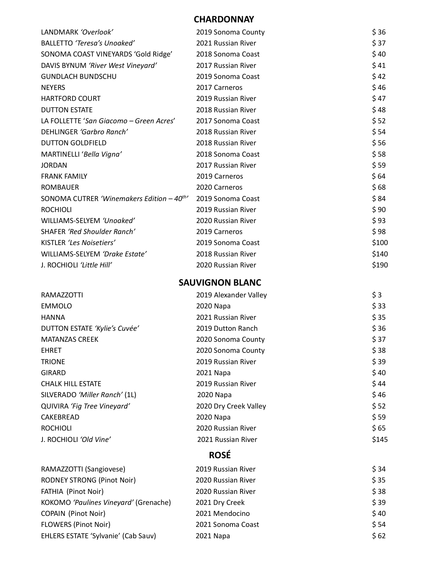## **CHARDONNAY**

| LANDMARK 'Overlook'                                    | 2019 Sonoma County     | \$36  |
|--------------------------------------------------------|------------------------|-------|
| BALLETTO 'Teresa's Unoaked'                            | 2021 Russian River     | \$37  |
| SONOMA COAST VINEYARDS 'Gold Ridge'                    | 2018 Sonoma Coast      | \$40  |
| DAVIS BYNUM 'River West Vineyard'                      | 2017 Russian River     | \$41  |
| <b>GUNDLACH BUNDSCHU</b>                               | 2019 Sonoma Coast      | \$42  |
| <b>NEYERS</b>                                          | 2017 Carneros          | \$46  |
| <b>HARTFORD COURT</b>                                  | 2019 Russian River     | \$47  |
| <b>DUTTON ESTATE</b>                                   | 2018 Russian River     | \$48  |
| LA FOLLETTE 'San Giacomo - Green Acres'                | 2017 Sonoma Coast      | \$52  |
| DEHLINGER 'Garbro Ranch'                               | 2018 Russian River     | \$54  |
| <b>DUTTON GOLDFIELD</b>                                | 2018 Russian River     | \$56  |
| MARTINELLI 'Bella Vigna'                               | 2018 Sonoma Coast      | \$58  |
| <b>JORDAN</b>                                          | 2017 Russian River     | \$59  |
| <b>FRANK FAMILY</b>                                    | 2019 Carneros          | \$64  |
| <b>ROMBAUER</b>                                        | 2020 Carneros          | \$68  |
| SONOMA CUTRER 'Winemakers Edition $-40$ <sup>th'</sup> | 2019 Sonoma Coast      | \$84  |
| <b>ROCHIOLI</b>                                        | 2019 Russian River     | \$90  |
| WILLIAMS-SELYEM 'Unoaked'                              | 2020 Russian River     | \$93  |
| SHAFER 'Red Shoulder Ranch'                            | 2019 Carneros          | \$98  |
| KISTLER 'Les Noisetiers'                               | 2019 Sonoma Coast      | \$100 |
| WILLIAMS-SELYEM 'Drake Estate'                         | 2018 Russian River     | \$140 |
| J. ROCHIOLI 'Little Hill'                              | 2020 Russian River     | \$190 |
|                                                        | <b>SAUVIGNON BLANC</b> |       |
|                                                        |                        |       |
| <b>RAMAZZOTTI</b>                                      | 2019 Alexander Valley  | \$3   |
| <b>EMMOLO</b>                                          | 2020 Napa              | \$33  |
| <b>HANNA</b>                                           | 2021 Russian River     | \$35  |
| DUTTON ESTATE 'Kylie's Cuvée'                          | 2019 Dutton Ranch      | \$36  |
| <b>MATANZAS CREEK</b>                                  | 2020 Sonoma County     | \$37  |
| <b>EHRET</b>                                           | 2020 Sonoma County     | \$38  |
| <b>TRIONE</b>                                          | 2019 Russian River     | \$39  |
| <b>GIRARD</b>                                          | 2021 Napa              | \$40  |
| <b>CHALK HILL ESTATE</b>                               | 2019 Russian River     | \$44  |
| SILVERADO 'Miller Ranch' (1L)                          | 2020 Napa              | \$46  |
| QUIVIRA 'Fig Tree Vineyard'                            | 2020 Dry Creek Valley  | \$52  |
| CAKEBREAD                                              | 2020 Napa              | \$59  |
| <b>ROCHIOLI</b>                                        | 2020 Russian River     | \$65  |
| J. ROCHIOLI 'Old Vine'                                 | 2021 Russian River     | \$145 |
|                                                        | <b>ROSÉ</b>            |       |
| RAMAZZOTTI (Sangiovese)                                | 2019 Russian River     | \$34  |
| <b>RODNEY STRONG (Pinot Noir)</b>                      | 2020 Russian River     | \$35  |
| FATHIA (Pinot Noir)                                    | 2020 Russian River     | \$38  |
| KOKOMO 'Paulines Vineyard' (Grenache)                  | 2021 Dry Creek         | \$39  |
| <b>COPAIN (Pinot Noir)</b>                             | 2021 Mendocino         | \$40  |
| <b>FLOWERS (Pinot Noir)</b>                            | 2021 Sonoma Coast      | \$54  |
| EHLERS ESTATE 'Sylvanie' (Cab Sauv)                    | 2021 Napa              | \$62  |
|                                                        |                        |       |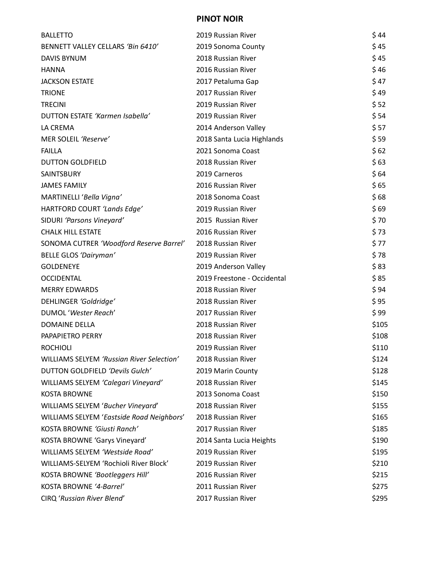#### **PINOT NOIR**

| <b>BALLETTO</b>                           | 2019 Russian River          | \$44  |
|-------------------------------------------|-----------------------------|-------|
| BENNETT VALLEY CELLARS 'Bin 6410'         | 2019 Sonoma County          | \$45  |
| <b>DAVIS BYNUM</b>                        | 2018 Russian River          | \$45  |
| <b>HANNA</b>                              | 2016 Russian River          | \$46  |
| <b>JACKSON ESTATE</b>                     | 2017 Petaluma Gap           | \$47  |
| <b>TRIONE</b>                             | 2017 Russian River          | \$49  |
| <b>TRECINI</b>                            | 2019 Russian River          | \$52  |
| DUTTON ESTATE 'Karmen Isabella'           | 2019 Russian River          | \$54  |
| LA CREMA                                  | 2014 Anderson Valley        | \$ 57 |
| MER SOLEIL 'Reserve'                      | 2018 Santa Lucia Highlands  | \$59  |
| <b>FAILLA</b>                             | 2021 Sonoma Coast           | \$62  |
| <b>DUTTON GOLDFIELD</b>                   | 2018 Russian River          | \$63  |
| SAINTSBURY                                | 2019 Carneros               | \$64  |
| <b>JAMES FAMILY</b>                       | 2016 Russian River          | \$65  |
| MARTINELLI 'Bella Vigna'                  | 2018 Sonoma Coast           | \$68  |
| HARTFORD COURT 'Lands Edge'               | 2019 Russian River          | \$69  |
| SIDURI 'Parsons Vineyard'                 | 2015 Russian River          | \$70  |
| <b>CHALK HILL ESTATE</b>                  | 2016 Russian River          | \$73  |
| SONOMA CUTRER 'Woodford Reserve Barrel'   | 2018 Russian River          | \$77  |
| <b>BELLE GLOS 'Dairyman'</b>              | 2019 Russian River          | \$78  |
| <b>GOLDENEYE</b>                          | 2019 Anderson Valley        | \$83  |
| <b>OCCIDENTAL</b>                         | 2019 Freestone - Occidental | \$85  |
| <b>MERRY EDWARDS</b>                      | 2018 Russian River          | \$94  |
| DEHLINGER 'Goldridge'                     | 2018 Russian River          | \$95  |
| DUMOL 'Wester Reach'                      | 2017 Russian River          | \$ 99 |
| <b>DOMAINE DELLA</b>                      | 2018 Russian River          | \$105 |
| PAPAPIETRO PERRY                          | 2018 Russian River          | \$108 |
| <b>ROCHIOLI</b>                           | 2019 Russian River          | \$110 |
| WILLIAMS SELYEM 'Russian River Selection' | 2018 Russian River          | \$124 |
| DUTTON GOLDFIELD 'Devils Gulch'           | 2019 Marin County           | \$128 |
| WILLIAMS SELYEM 'Calegari Vineyard'       | 2018 Russian River          | \$145 |
| <b>KOSTA BROWNE</b>                       | 2013 Sonoma Coast           | \$150 |
| WILLIAMS SELYEM 'Bucher Vineyard'         | 2018 Russian River          | \$155 |
| WILLIAMS SELYEM 'Eastside Road Neighbors' | 2018 Russian River          | \$165 |
| KOSTA BROWNE 'Giusti Ranch'               | 2017 Russian River          | \$185 |
| KOSTA BROWNE 'Garys Vineyard'             | 2014 Santa Lucia Heights    | \$190 |
| WILLIAMS SELYEM 'Westside Road'           | 2019 Russian River          | \$195 |
| WILLIAMS-SELYEM 'Rochioli River Block'    | 2019 Russian River          | \$210 |
| KOSTA BROWNE 'Bootleggers Hill'           | 2016 Russian River          | \$215 |
| KOSTA BROWNE '4-Barrel'                   | 2011 Russian River          | \$275 |
| CIRQ 'Russian River Blend'                | 2017 Russian River          | \$295 |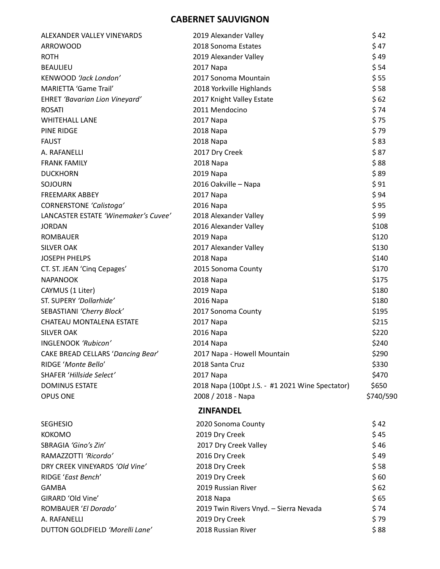## **CABERNET SAUVIGNON**

| ALEXANDER VALLEY VINEYARDS            | 2019 Alexander Valley                           | \$42      |
|---------------------------------------|-------------------------------------------------|-----------|
| <b>ARROWOOD</b>                       | 2018 Sonoma Estates                             | \$47      |
| <b>ROTH</b>                           | 2019 Alexander Valley                           | \$49      |
| <b>BEAULIEU</b>                       | 2017 Napa                                       | \$54      |
| KENWOOD 'Jack London'                 | 2017 Sonoma Mountain                            | \$55      |
| <b>MARIETTA 'Game Trail'</b>          | 2018 Yorkville Highlands                        | \$58      |
| <b>EHRET 'Bavarian Lion Vineyard'</b> | 2017 Knight Valley Estate                       | \$62      |
| <b>ROSATI</b>                         | 2011 Mendocino                                  | \$74      |
| <b>WHITEHALL LANE</b>                 | 2017 Napa                                       | \$75      |
| <b>PINE RIDGE</b>                     | 2018 Napa                                       | \$79      |
| <b>FAUST</b>                          | 2018 Napa                                       | \$83      |
| A. RAFANELLI                          | 2017 Dry Creek                                  | \$87      |
| <b>FRANK FAMILY</b>                   | 2018 Napa                                       | \$88      |
| <b>DUCKHORN</b>                       | 2019 Napa                                       | \$89      |
| SOJOURN                               | 2016 Oakville - Napa                            | \$91      |
| <b>FREEMARK ABBEY</b>                 | 2017 Napa                                       | \$94      |
| <b>CORNERSTONE 'Calistoga'</b>        | 2016 Napa                                       | \$95      |
| LANCASTER ESTATE 'Winemaker's Cuvee'  | 2018 Alexander Valley                           | \$99      |
| <b>JORDAN</b>                         | 2016 Alexander Valley                           | \$108     |
| <b>ROMBAUER</b>                       | 2019 Napa                                       | \$120     |
| <b>SILVER OAK</b>                     | 2017 Alexander Valley                           | \$130     |
| <b>JOSEPH PHELPS</b>                  | 2018 Napa                                       | \$140     |
| CT. ST. JEAN 'Cinq Cepages'           | 2015 Sonoma County                              | \$170     |
| <b>NAPANOOK</b>                       | 2018 Napa                                       | \$175     |
| CAYMUS (1 Liter)                      | 2019 Napa                                       | \$180     |
| ST. SUPERY 'Dollarhide'               | 2016 Napa                                       | \$180     |
| SEBASTIANI 'Cherry Block'             | 2017 Sonoma County                              | \$195     |
| CHATEAU MONTALENA ESTATE              | 2017 Napa                                       | \$215     |
| <b>SILVER OAK</b>                     | 2016 Napa                                       | \$220     |
| INGLENOOK 'Rubicon'                   | 2014 Napa                                       | \$240     |
| CAKE BREAD CELLARS 'Dancing Bear'     | 2017 Napa - Howell Mountain                     | \$290     |
| RIDGE 'Monte Bello'                   | 2018 Santa Cruz                                 | \$330     |
| SHAFER 'Hillside Select'              | 2017 Napa                                       | \$470     |
| <b>DOMINUS ESTATE</b>                 | 2018 Napa (100pt J.S. - #1 2021 Wine Spectator) | \$650     |
| <b>OPUS ONE</b>                       | 2008 / 2018 - Napa                              | \$740/590 |
|                                       | <b>ZINFANDEL</b>                                |           |
| <b>SEGHESIO</b>                       | 2020 Sonoma County                              | \$42      |
| <b>KOKOMO</b>                         | 2019 Dry Creek                                  | \$45      |
| SBRAGIA 'Gino's Zin'                  | 2017 Dry Creek Valley                           | \$46      |
| RAMAZZOTTI 'Ricordo'                  | 2016 Dry Creek                                  | \$49      |
| DRY CREEK VINEYARDS 'Old Vine'        | 2018 Dry Creek                                  | \$58      |
| RIDGE 'East Bench'                    | 2019 Dry Creek                                  | \$60      |
| <b>GAMBA</b>                          | 2019 Russian River                              | \$62      |
| GIRARD 'Old Vine'                     | 2018 Napa                                       | \$65      |
| ROMBAUER 'El Dorado'                  | 2019 Twin Rivers Vnyd. - Sierra Nevada          | \$74      |
| A. RAFANELLI                          | 2019 Dry Creek                                  | \$79      |
| DUTTON GOLDFIELD 'Morelli Lane'       | 2018 Russian River                              | \$88      |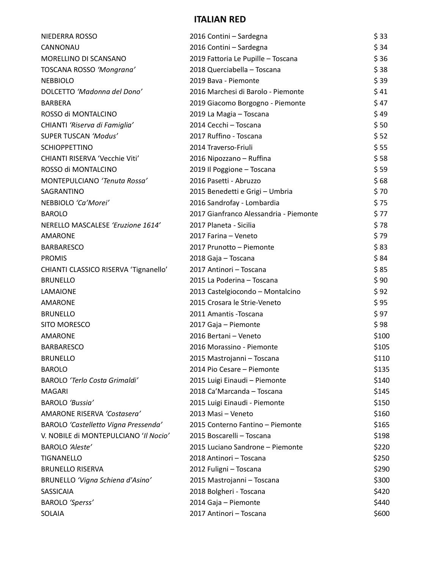# **ITALIAN RED**

| NIEDERRA ROSSO                        | 2016 Contini – Sardegna                | \$33  |
|---------------------------------------|----------------------------------------|-------|
| CANNONAU                              | 2016 Contini - Sardegna                | \$34  |
| MORELLINO DI SCANSANO                 | 2019 Fattoria Le Pupille - Toscana     | \$36  |
| TOSCANA ROSSO 'Mongrana'              | 2018 Querciabella - Toscana            | \$38  |
| <b>NEBBIOLO</b>                       | 2019 Bava - Piemonte                   | \$39  |
| DOLCETTO 'Madonna del Dono'           | 2016 Marchesi di Barolo - Piemonte     | \$41  |
| <b>BARBERA</b>                        | 2019 Giacomo Borgogno - Piemonte       | \$47  |
| ROSSO di MONTALCINO                   | 2019 La Magia - Toscana                | \$49  |
| CHIANTI 'Riserva di Famiglia'         | 2014 Cecchi - Toscana                  | \$50  |
| SUPER TUSCAN 'Modus'                  | 2017 Ruffino - Toscana                 | \$52  |
| <b>SCHIOPPETTINO</b>                  | 2014 Traverso-Friuli                   | \$55  |
| CHIANTI RISERVA 'Vecchie Viti'        | 2016 Nipozzano - Ruffina               | \$58  |
| ROSSO di MONTALCINO                   | 2019 Il Poggione - Toscana             | \$59  |
| MONTEPULCIANO 'Tenuta Rossa'          | 2016 Pasetti - Abruzzo                 | \$68  |
| SAGRANTINO                            | 2015 Benedetti e Grigi - Umbria        | \$70  |
| NEBBIOLO 'Ca'Morei'                   | 2016 Sandrofay - Lombardia             | \$75  |
| <b>BAROLO</b>                         | 2017 Gianfranco Alessandria - Piemonte | \$77  |
| NERELLO MASCALESE 'Eruzione 1614'     | 2017 Planeta - Sicilia                 | \$78  |
| AMARONE                               | 2017 Farina - Veneto                   | \$79  |
| <b>BARBARESCO</b>                     | 2017 Prunotto - Piemonte               | \$83  |
| <b>PROMIS</b>                         | 2018 Gaja - Toscana                    | \$84  |
| CHIANTI CLASSICO RISERVA 'Tignanello' | 2017 Antinori - Toscana                | \$85  |
| <b>BRUNELLO</b>                       | 2015 La Poderina - Toscana             | \$90  |
| <b>LAMAIONE</b>                       | 2013 Castelgiocondo - Montalcino       | \$92  |
| AMARONE                               | 2015 Crosara le Strie-Veneto           | \$95  |
| <b>BRUNELLO</b>                       | 2011 Amantis - Toscana                 | \$97  |
| SITO MORESCO                          | 2017 Gaja - Piemonte                   | \$98  |
| <b>AMARONE</b>                        | 2016 Bertani - Veneto                  | \$100 |
| <b>BARBARESCO</b>                     | 2016 Morassino - Piemonte              | \$105 |
| <b>BRUNELLO</b>                       | 2015 Mastrojanni - Toscana             | \$110 |
| <b>BAROLO</b>                         | 2014 Pio Cesare - Piemonte             | \$135 |
| <b>BAROLO 'Terlo Costa Grimaldi'</b>  | 2015 Luigi Einaudi - Piemonte          | \$140 |
| <b>MAGARI</b>                         | 2018 Ca'Marcanda - Toscana             | \$145 |
| BAROLO 'Bussia'                       | 2015 Luigi Einaudi - Piemonte          | \$150 |
| AMARONE RISERVA 'Costasera'           | 2013 Masi - Veneto                     | \$160 |
| BAROLO 'Castelletto Vigna Pressenda'  | 2015 Conterno Fantino - Piemonte       | \$165 |
| V. NOBILE di MONTEPULCIANO 'Il Nocio' | 2015 Boscarelli - Toscana              | \$198 |
| BAROLO 'Aleste'                       | 2015 Luciano Sandrone - Piemonte       | \$220 |
| <b>TIGNANELLO</b>                     | 2018 Antinori - Toscana                | \$250 |
| <b>BRUNELLO RISERVA</b>               | 2012 Fuligni - Toscana                 | \$290 |
| BRUNELLO 'Vigna Schiena d'Asino'      | 2015 Mastrojanni - Toscana             | \$300 |
| SASSICAIA                             | 2018 Bolgheri - Toscana                | \$420 |
| BAROLO 'Sperss'                       | 2014 Gaja - Piemonte                   | \$440 |
| SOLAIA                                | 2017 Antinori - Toscana                | \$600 |